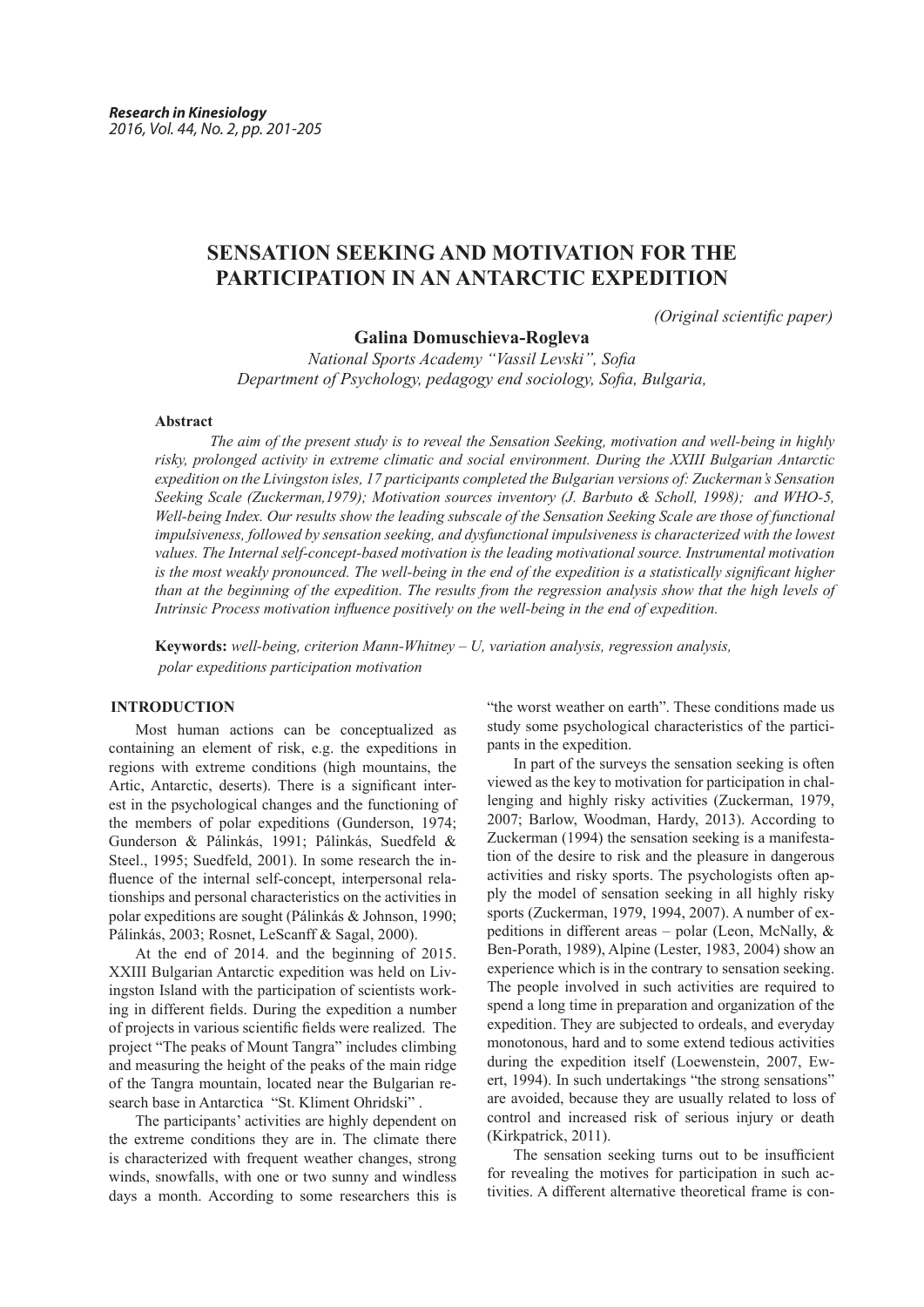# **SENSATION SEEKING AND MOTIVATION FOR THE PARTICIPATION IN AN ANTARCTIC EXPEDITION**

*(Original scientific paper)*

## **Galina Domuschieva-Rogleva**

*National Sports Academy "Vassil Levski", Sofia Department of Psychology, pedagogy end sociology, Sofia, Bulgaria,*

## **Abstract**

*The aim of the present study is to reveal the Sensation Seeking, motivation and well-being in highly risky, prolonged activity in extreme climatic and social environment. During the ХХIII Bulgarian Antarctic expedition on the Livingston isles, 17 participants completed the Bulgarian versions of: Zuckerman's Sensation Seeking Scale (Zuckerman,1979); Motivation sources inventory (J. Barbuto & Scholl, 1998); and WHO-5, Well-being Index. Our results show the leading subscale of the Sensation Seeking Scale are those of functional impulsiveness, followed by sensation seeking, and dysfunctional impulsiveness is characterized with the lowest values. The Internal self-concept-based motivation is the leading motivational source. Instrumental motivation is the most weakly pronounced. The well-being in the end of the expedition is a statistically significant higher than at the beginning of the expedition. The results from the regression analysis show that the high levels of Intrinsic Process motivation influence positively on the well-being in the end of expedition.*

**Keywords:** *well-being, criterion Mann-Whitney – U, variation analysis, regression analysis, polar expeditions participation motivation*

## **INTRODUCTION**

Most human actions can be conceptualized as containing an element of risk, e.g. the expeditions in regions with extreme conditions (high mountains, the Artic, Antarctic, deserts). There is a significant interest in the psychological changes and the functioning of the members of polar expeditions (Gunderson, 1974; Gunderson & Pálinkás, 1991; Pálinkás, Suedfeld & Steel., 1995; Suedfeld, 2001). In some research the influence of the internal self-concept, interpersonal relationships and personal characteristics on the activities in polar expeditions are sought (Pálinkás & Johnson, 1990; Pálinkás, 2003; Rosnet, LeScanff & Sagal, 2000).

At the end of 2014. and the beginning of 2015. XXIII Bulgarian Antarctic expedition was held on Livingston Island with the participation of scientists working in different fields. During the expedition a number of projects in various scientific fields were realized. The project "The peaks of Mount Tangra" includes climbing and measuring the height of the peaks of the main ridge of the Tangra mountain, located near the Bulgarian research base in Antarctica "St. Kliment Ohridski" .

The participants' activities are highly dependent on the extreme conditions they are in. The climate there is characterized with frequent weather changes, strong winds, snowfalls, with one or two sunny and windless days a month. According to some researchers this is

"the worst weather on earth". These conditions made us study some psychological characteristics of the participants in the expedition.

In part of the surveys the sensation seeking is often viewed as the key to motivation for participation in challenging and highly risky activities (Zuckerman, 1979, 2007; Barlow, Woodman, Hardy, 2013). According to Zuckerman (1994) the sensation seeking is a manifestation of the desire to risk and the pleasure in dangerous activities and risky sports. The psychologists often apply the model of sensation seeking in all highly risky sports (Zuckerman, 1979, 1994, 2007). A number of expeditions in different areas – polar (Leon, McNally, & Ben-Porath, 1989), Alpine (Lester, 1983, 2004) show an experience which is in the contrary to sensation seeking. The people involved in such activities are required to spend a long time in preparation and organization of the expedition. They are subjected to ordeals, and everyday monotonous, hard and to some extend tedious activities during the expedition itself (Loewenstein, 2007, Ewert, 1994). In such undertakings "the strong sensations" are avoided, because they are usually related to loss of control and increased risk of serious injury or death (Kirkpatrick, 2011).

The sensation seeking turns out to be insufficient for revealing the motives for participation in such activities. A different alternative theoretical frame is con-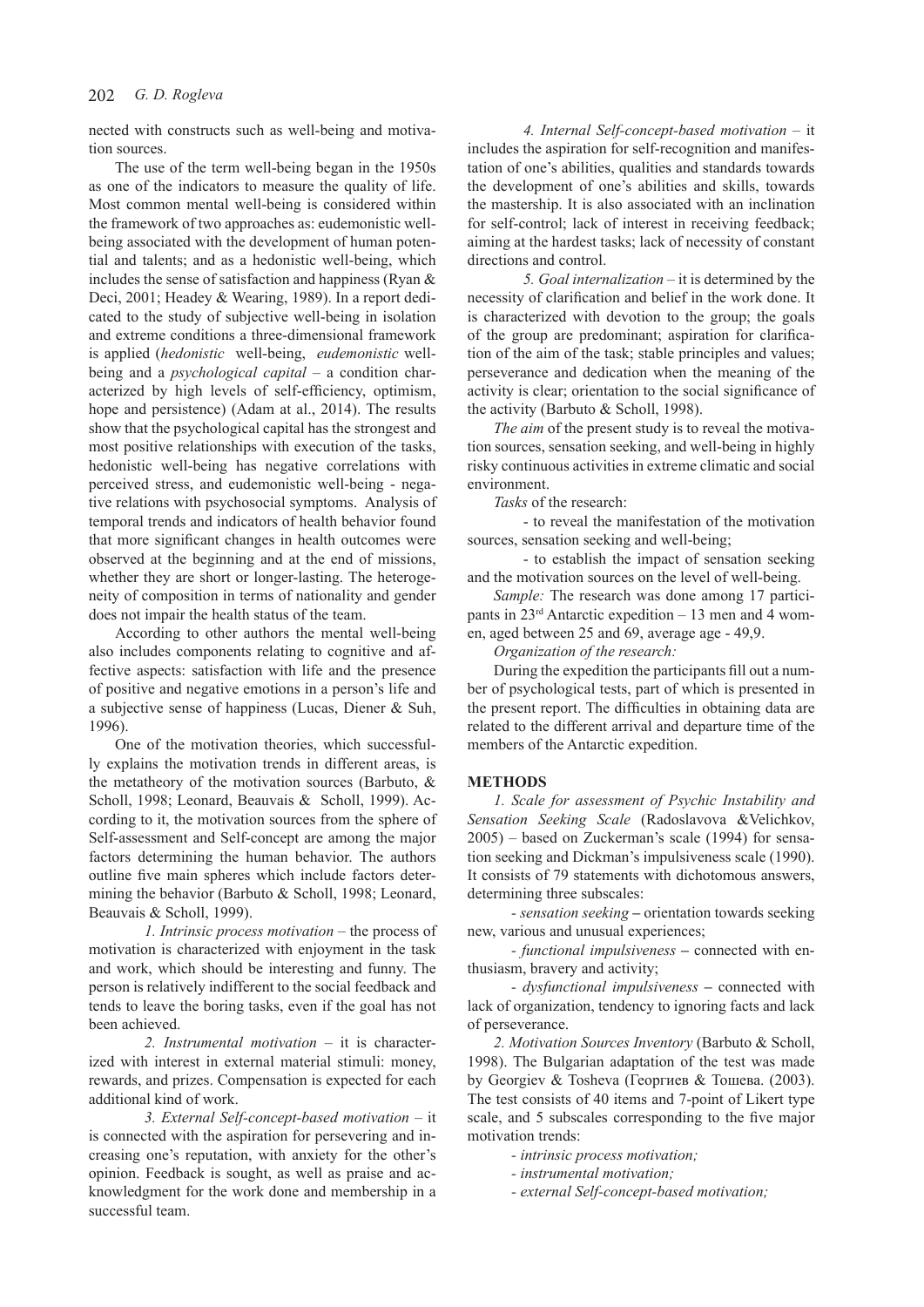### 202 *G. D. Rogleva*

nected with constructs such as well-being and motivation sources.

The use of the term well-being began in the 1950s as one of the indicators to measure the quality of life. Most common mental well-being is considered within the framework of two approaches as: eudemonistic wellbeing associated with the development of human potential and talents; and as a hedonistic well-being, which includes the sense of satisfaction and happiness (Ryan & Deci, 2001; Headey & Wearing, 1989). In a report dedicated to the study of subjective well-being in isolation and extreme conditions a three-dimensional framework is applied (*hedonistic*well-being, *eudemonistic* wellbeing and a *psychological capital* – a condition characterized by high levels of self-efficiency, optimism, hope and persistence) (Adam at al., 2014). The results show that the psychological capital has the strongest and most positive relationships with execution of the tasks, hedonistic well-being has negative correlations with perceived stress, and eudemonistic well-being - negative relations with psychosocial symptoms. Analysis of temporal trends and indicators of health behavior found that more significant changes in health outcomes were observed at the beginning and at the end of missions, whether they are short or longer-lasting. The heterogeneity of composition in terms of nationality and gender does not impair the health status of the team.

According to other authors the mental well-being also includes components relating to cognitive and affective aspects: satisfaction with life and the presence of positive and negative emotions in a person's life and a subjective sense of happiness (Lucas, Diener & Suh, 1996).

One of the motivation theories, which successfully explains the motivation trends in different areas, is the metatheory of the motivation sources (Barbuto, & Scholl, 1998; Leonard, Beauvais & Scholl, 1999). According to it, the motivation sources from the sphere of Self-assessment and Self-concept are among the major factors determining the human behavior. The authors outline five main spheres which include factors determining the behavior (Barbuto & Scholl, 1998; Leonard, Beauvais & Scholl, 1999).

*1. Intrinsic process motivation* – the process of motivation is characterized with enjoyment in the task and work, which should be interesting and funny. The person is relatively indifferent to the social feedback and tends to leave the boring tasks, even if the goal has not been achieved.

*2. Instrumental motivation* – it is characterized with interest in external material stimuli: money, rewards, and prizes. Compensation is expected for each additional kind of work.

*3. External Self-concept-based motivation* – it is connected with the aspiration for persevering and increasing one's reputation, with anxiety for the other's opinion. Feedback is sought, as well as praise and acknowledgment for the work done and membership in a successful team.

*4. Internal Self-concept-based motivation* – it includes the aspiration for self-recognition and manifestation of one's abilities, qualities and standards towards the development of one's abilities and skills, towards the mastership. It is also associated with an inclination for self-control; lack of interest in receiving feedback; aiming at the hardest tasks; lack of necessity of constant directions and control.

*5. Goal internalization* – it is determined by the necessity of clarification and belief in the work done. It is characterized with devotion to the group; the goals of the group are predominant; aspiration for clarification of the aim of the task; stable principles and values; perseverance and dedication when the meaning of the activity is clear; orientation to the social significance of the activity (Barbuto & Scholl, 1998).

*The aim* of the present study is to reveal the motivation sources, sensation seeking, and well-being in highly risky continuous activities in extreme climatic and social environment.

*Tasks* of the research:

- to reveal the manifestation of the motivation sources, sensation seeking and well-being;

- to establish the impact of sensation seeking and the motivation sources on the level of well-being.

*Sample:* The research was done among 17 participants in  $23<sup>rd</sup>$  Antarctic expedition – 13 men and 4 women, aged between 25 and 69, average age - 49,9.

*Organization of the research:*

During the expedition the participants fill out a number of psychological tests, part of which is presented in the present report. The difficulties in obtaining data are related to the different arrival and departure time of the members of the Antarctic expedition.

### **METHODS**

*1. Scale for assessment of Psychic Instability and Sensation Seeking Scale* (Radoslavova &Velichkov, 2005) – based on Zuckerman's scale (1994) for sensation seeking and Dickman's impulsiveness scale (1990). It consists of 79 statements with dichotomous answers, determining three subscales:

*- sensation seeking* **–** orientation towards seeking new, various and unusual experiences;

*- functional impulsiveness* **–** connected with enthusiasm, bravery and activity;

*- dysfunctional impulsiveness* **–** connected with lack of organization, tendency to ignoring facts and lack of perseverance.

*2. Motivation Sources Inventory* (Barbuto & Scholl, 1998). The Bulgarian adaptation of the test was made by Georgiev & Tosheva (Георгиев & Тошева. (2003). The test consists of 40 items and 7-point of Likert type scale, and 5 subscales corresponding to the five major motivation trends:

*- intrinsic process motivation;*

*- instrumental motivation;*

*- external Self-concept-based motivation;*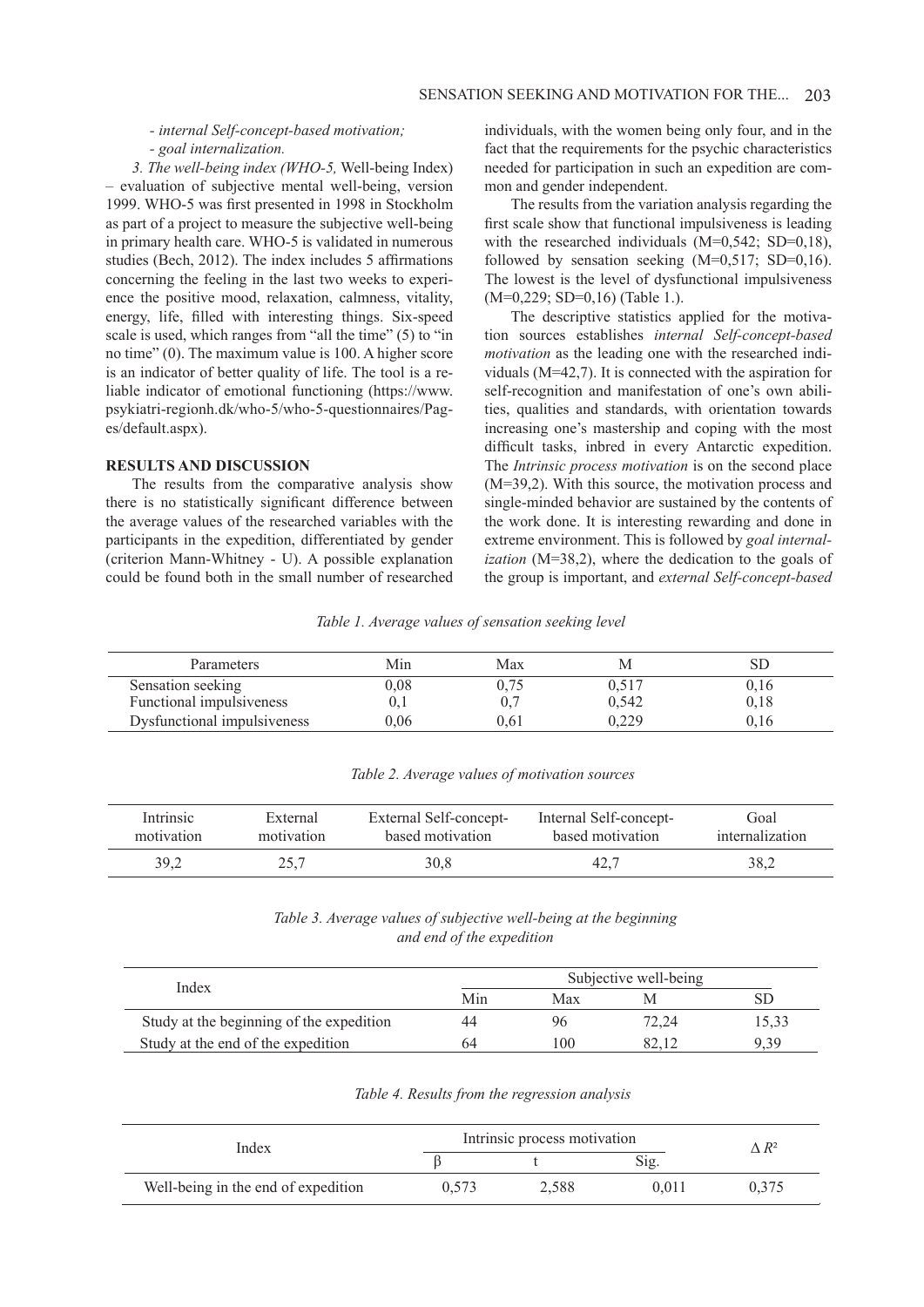## *- internal Self-concept-based motivation; - goal internalization.*

*3. The well-being index (WHO-5,* Well-being Index) – evaluation of subjective mental well-being, version 1999. WHO-5 was first presented in 1998 in Stockholm as part of a project to measure the subjective well-being in primary health care. WHO-5 is validated in numerous studies (Bech, 2012). The index includes 5 affirmations concerning the feeling in the last two weeks to experience the positive mood, relaxation, calmness, vitality, energy, life, filled with interesting things. Six-speed scale is used, which ranges from "all the time" (5) to "in no time" (0). The maximum value is 100. A higher score is an indicator of better quality of life. The tool is a reliable indicator of emotional functioning (https://www. psykiatri-regionh.dk/who-5/who-5-questionnaires/Pages/default.aspx).

#### **RESULTS AND DISCUSSION**

The results from the comparative analysis show there is no statistically significant difference between the average values of the researched variables with the participants in the expedition, differentiated by gender (criterion Mann-Whitney - U). A possible explanation could be found both in the small number of researched

individuals, with the women being only four, and in the fact that the requirements for the psychic characteristics needed for participation in such an expedition are common and gender independent.

The results from the variation analysis regarding the first scale show that functional impulsiveness is leading with the researched individuals (M=0,542; SD=0,18), followed by sensation seeking  $(M=0.517; SD=0.16)$ . The lowest is the level of dysfunctional impulsiveness (М=0,229; SD=0,16) (Table 1.).

The descriptive statistics applied for the motivation sources establishes *internal Self-concept-based motivation* as the leading one with the researched individuals (М=42,7). It is connected with the aspiration for self-recognition and manifestation of one's own abilities, qualities and standards, with orientation towards increasing one's mastership and coping with the most difficult tasks, inbred in every Antarctic expedition. The *Intrinsic process motivation* is on the second place (М=39,2). With this source, the motivation process and single-minded behavior are sustained by the contents of the work done. It is interesting rewarding and done in extreme environment. This is followed by *goal internalization* (М=38,2), where the dedication to the goals of the group is important, and *external Self-concept-based* 

*Table 1. Average values of sensation seeking level*

| Parameters                  | Min  | Max  | M     |      |
|-----------------------------|------|------|-------|------|
| Sensation seeking           | ).08 |      | 0.517 | V.IO |
| Functional impulsiveness    |      |      | 0.542 | 0,18 |
| Dysfunctional impulsiveness | 0.06 | 0.61 | 0.229 |      |

|  |  | Table 2. Average values of motivation sources |  |
|--|--|-----------------------------------------------|--|
|  |  |                                               |  |

| Intrinsic  | External   | External Self-concept- | Internal Self-concept- | Goal            |
|------------|------------|------------------------|------------------------|-----------------|
| motivation | motivation | based motivation       | based motivation       | internalization |
| 39,2       |            | 30,8                   | 42.7                   | 38,2            |

*Table 3. Average values of subjective well-being at the beginning and end of the expedition*

| Index                                    | Subjective well-being |     |       |       |
|------------------------------------------|-----------------------|-----|-------|-------|
|                                          | Min                   | Max | M     |       |
| Study at the beginning of the expedition | 44                    | 96  | 72.24 | 15.33 |
| Study at the end of the expedition       | 64                    | 100 |       | 9.39  |

## *Table 4. Results from the regression analysis*

| Index                               | Intrinsic process motivation | $\wedge R^2$ |       |       |
|-------------------------------------|------------------------------|--------------|-------|-------|
|                                     |                              |              | Sig.  |       |
| Well-being in the end of expedition | 0.573                        | 2.588        | 0.011 | 0.375 |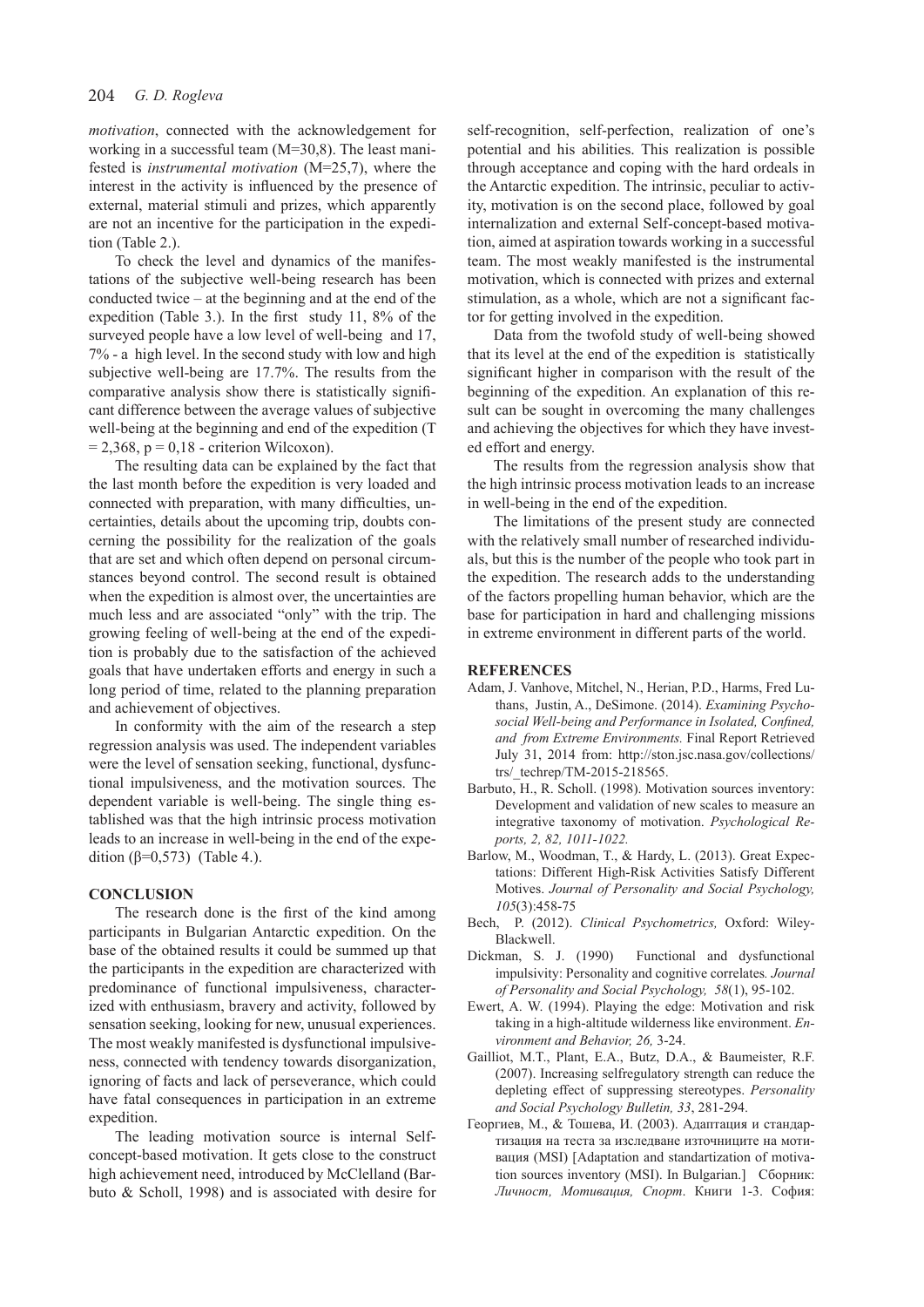*motivation*, connected with the acknowledgement for working in a successful team (M=30,8). The least manifested is *instrumental motivation* (М=25,7), where the interest in the activity is influenced by the presence of external, material stimuli and prizes, which apparently are not an incentive for the participation in the expedition (Table 2.).

To check the level and dynamics of the manifestations of the subjective well-being research has been conducted twice – at the beginning and at the end of the expedition (Table 3.). In the first study 11, 8% of the surveyed people have a low level of well-being and 17, 7% - a high level. In the second study with low and high subjective well-being are 17.7%. The results from the comparative analysis show there is statistically significant difference between the average values of subjective well-being at the beginning and end of the expedition (T  $= 2,368$ ,  $p = 0,18$  - criterion Wilcoxon).

The resulting data can be explained by the fact that the last month before the expedition is very loaded and connected with preparation, with many difficulties, uncertainties, details about the upcoming trip, doubts concerning the possibility for the realization of the goals that are set and which often depend on personal circumstances beyond control. The second result is obtained when the expedition is almost over, the uncertainties are much less and are associated "only" with the trip. The growing feeling of well-being at the end of the expedition is probably due to the satisfaction of the achieved goals that have undertaken efforts and energy in such a long period of time, related to the planning preparation and achievement of objectives.

In conformity with the aim of the research a step regression analysis was used. The independent variables were the level of sensation seeking, functional, dysfunctional impulsiveness, and the motivation sources. The dependent variable is well-being. The single thing established was that the high intrinsic process motivation leads to an increase in well-being in the end of the expedition ( $β=0,573$ ) (Table 4.).

#### **CONCLUSION**

The research done is the first of the kind among participants in Bulgarian Antarctic expedition. On the base of the obtained results it could be summed up that the participants in the expedition are characterized with predominance of functional impulsiveness, characterized with enthusiasm, bravery and activity, followed by sensation seeking, looking for new, unusual experiences. The most weakly manifested is dysfunctional impulsiveness, connected with tendency towards disorganization, ignoring of facts and lack of perseverance, which could have fatal consequences in participation in an extreme expedition.

The leading motivation source is internal Selfconcept-based motivation. It gets close to the construct high achievement need, introduced by McClelland (Barbuto & Scholl, 1998) and is associated with desire for self-recognition, self-perfection, realization of one's potential and his abilities. This realization is possible through acceptance and coping with the hard ordeals in the Antarctic expedition. The intrinsic, peculiar to activity, motivation is on the second place, followed by goal internalization and external Self-concept-based motivation, aimed at aspiration towards working in a successful team. The most weakly manifested is the instrumental motivation, which is connected with prizes and external stimulation, as a whole, which are not a significant factor for getting involved in the expedition.

Data from the twofold study of well-being showed that its level at the end of the expedition is statistically significant higher in comparison with the result of the beginning of the expedition. An explanation of this result can be sought in overcoming the many challenges and achieving the objectives for which they have invested effort and energy.

The results from the regression analysis show that the high intrinsic process motivation leads to an increase in well-being in the end of the expedition.

The limitations of the present study are connected with the relatively small number of researched individuals, but this is the number of the people who took part in the expedition. The research adds to the understanding of the factors propelling human behavior, which are the base for participation in hard and challenging missions in extreme environment in different parts of the world.

#### **REFERENCES**

- Adam, J. Vanhove, Mitchel, N., Herian, P.D., Harms, Fred Luthans, Justin, A., DeSimone. (2014). *Examining Psychosocial Well-being and Performance in Isolated, Confined, and from Extreme Environments.* Final Report Retrieved July 31, 2014 from: http://ston.jsc.nasa.gov/collections/ trs/\_techrep/TM-2015-218565.
- Barbuto, H., R. Scholl. (1998). Motivation sources inventory: Development and validation of new scales to measure an integrative taxonomy of motivation. *Psychological Reports, 2, 82, 1011-1022.*
- Barlow, M., Woodman, T., & Hardy, L. (2013). Great Expectations: Different High-Risk Activities Satisfy Different Motives. *Journal of Personality and Social Psychology, 105*(3):458-75
- Bech, P. (2012). *Clinical Psychometrics,* Oxford: Wiley-Blackwell.
- Dickman, S. J. (1990) Functional and dysfunctional impulsivity: Personality and cognitive correlates*. Journal of Personality and Social Psychology, 58*(1), 95-102.
- Ewert, A. W. (1994). Playing the edge: Motivation and risk taking in a high-altitude wilderness like environment. *Environment and Behavior, 26,* 3-24.
- Gailliot, M.T., Plant, E.A., Butz, D.A., & Baumeister, R.F. (2007). Increasing selfregulatory strength can reduce the depleting effect of suppressing stereotypes. *Personality and Social Psychology Bulletin, 33*, 281-294.
- Георгиев, М., & Тошева, И. (2003). Адаптация и стандартизация на теста за изследване източниците на мотивация (MSI) [Adaptation and standartization of motivation sources inventory (MSI). In Bulgarian.] Сборник: *Личност, Мотивация, Спорт*. Книги 1-3. София: